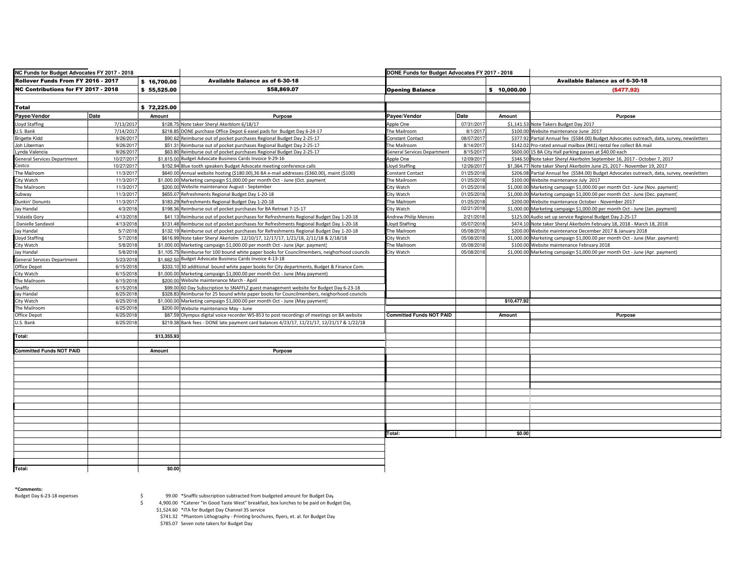| NC Funds for Budget Advocates FY 2017 - 2018 |                      | DONE Funds for Budget Advocates FY 2017 - 2018                                             |                                                                                                                                                                                      |                                    |            |             |                                                                                             |
|----------------------------------------------|----------------------|--------------------------------------------------------------------------------------------|--------------------------------------------------------------------------------------------------------------------------------------------------------------------------------------|------------------------------------|------------|-------------|---------------------------------------------------------------------------------------------|
| Rollover Funds From FY 2016 - 2017           |                      | \$16,700.00                                                                                | Available Balance as of 6-30-18                                                                                                                                                      |                                    |            |             | Available Balance as of 6-30-18                                                             |
| <b>NC Contributions for FY 2017 - 2018</b>   |                      | \$55.525.00                                                                                | \$58,869.07                                                                                                                                                                          | <b>Opening Balance</b>             |            | \$10,000.00 | ( \$477.92]                                                                                 |
|                                              |                      |                                                                                            |                                                                                                                                                                                      |                                    |            |             |                                                                                             |
| <b>Total</b>                                 |                      | \$72,225.00                                                                                |                                                                                                                                                                                      |                                    |            |             |                                                                                             |
| Payee/Vendor                                 | Date                 | Amount                                                                                     | <b>Purpose</b>                                                                                                                                                                       | Payee/Vendor                       | Date       | Amount      | <b>Purpose</b>                                                                              |
| Lloyd Staffing                               | 7/13/2017            |                                                                                            | \$128.75 Note taker Sheryl Akerblom 6/18/17                                                                                                                                          | Apple One                          | 07/31/2017 |             | \$1,141.53 Note Takers Budget Day 2017                                                      |
| U.S. Bank                                    | 7/14/2017            |                                                                                            | \$218.85 DONE purchase Office Depot 6 easel pads for Budget Day 6-24-17                                                                                                              | The Mailroom                       | 8/1/2017   |             | \$100.00 Website maintenance June 2017                                                      |
| <b>Brigette Kidd</b>                         | 9/26/201             | \$90.62 Reimburse out of pocket purchases Regional Budget Day 2-25-17                      |                                                                                                                                                                                      | Constant Contact                   | 08/07/2017 |             | \$377.92 Partial Annual fee (\$584.00) Budget Advocates outreach, data, survey, newsletters |
| Joh Liberman                                 | 9/26/2017            | \$51.31 Reimburse out of pocket purchases Regional Budget Day 2-25-17                      |                                                                                                                                                                                      | The Mailroom                       | 8/14/2017  |             | \$142.02 Pro-rated annual mailbox (#41) rental fee collect BA mail                          |
| Lynda Valencia                               | 9/26/201             |                                                                                            | \$63.80 Reimburse out of pocket purchases Regional Budget Day 2-25-17                                                                                                                | <b>General Services Department</b> | 8/15/201   |             | \$600.00 15 BA City Hall parking passes at \$40.00 each                                     |
| <b>General Services Department</b>           | 10/27/2017           |                                                                                            | \$1.615.00 Budget Advocate Business Cards Invoice 9-29-16                                                                                                                            | Apple One                          | 12/09/2017 |             | \$346.50 Note taker Sheryl Akerbolm September 16, 2017 - October 7, 2017                    |
| Costco                                       | 10/27/201            |                                                                                            | \$152.94 Blue tooth speakers Budget Advocate meeting conference calls                                                                                                                | loyd Staffing                      | 12/26/2017 |             | \$1,364.77 Note taker Sheryl Akerbolm June 25, 2017 - November 19, 2017                     |
| The Mailroom                                 | 11/3/201             |                                                                                            | \$640.00 Annual website hosting (\$180.00),36 BA e-mail addresses (\$360.00), maint (\$100)                                                                                          | Constant Contact                   | 01/25/2018 |             | \$206.08 Partial Annual fee (\$584.00) Budget Advocates outreach, data, survey, newsletters |
| City Watch                                   | 11/3/2011            |                                                                                            | \$1,000.00 Marketing campaign \$1,000.00 per month Oct - June (Oct. payment)                                                                                                         | The Mailroom                       | 01/25/2018 |             | \$100.00 Website maintenance July 2017                                                      |
| The Mailroom                                 | 11/3/201             |                                                                                            | \$200.00 Website maintenance August - September                                                                                                                                      | City Watch                         | 01/25/201  |             | \$1,000.00 Marketing campaign \$1,000.00 per month Oct - June (Nov. payment)                |
| Subway                                       | 11/3/2017            |                                                                                            | \$655.07 Refreshments Regional Budget Day 1-20-18                                                                                                                                    | City Watch                         | 01/25/2018 |             | \$1,000.00 Marketing campaign \$1,000.00 per month Oct - June (Dec. payment)                |
| Dunkin' Donunts                              | 11/3/2011            |                                                                                            | \$183.29 Refreshments Regional Budget Day 1-20-18                                                                                                                                    | The Mailroom                       | 01/25/2018 | \$200.00    | Website maintenance October - November 2017                                                 |
| Jay Handal                                   | 4/3/201              | \$198.3                                                                                    | Reimburse out of pocket purchases for BA Retreat 7-15-17                                                                                                                             | City Watch                         | 02/21/2018 |             | \$1,000.00 Marketing campaign \$1,000.00 per month Oct - June (Jan. payment)                |
| Valaida Gory                                 | 4/13/2011            | \$41.13                                                                                    | Reimburse out of pocket purchases for Refreshments Regional Budget Day 1-20-18                                                                                                       | <b>Andrew Philip Menzes</b>        | 2/21/2018  |             | \$125.00 Audio set up service Regional Budget Day 2-25-17                                   |
| Danielle Sandavol                            | 4/13/2018            |                                                                                            | \$131.48 Reimburse out of pocket purchases for Refreshments Regional Budget Day 1-20-18                                                                                              | <b>loyd Staffing</b>               | 05/07/2018 |             | \$474.10 Note taker Sheryl Akerbolm February 18, 2018 - March 18, 2018                      |
| Jay Handal                                   | 5/7/201              |                                                                                            | \$132.19 Reimburse out of pocket purchases for Refreshments Regional Budget Day 1-20-18                                                                                              | The Mailroom                       | 05/08/2018 | \$200.00    | Website maintenance December 2017 & January 2018                                            |
| <b>Lloyd Staffing</b>                        | 5/7/201              |                                                                                            | \$616.99 Note taker Sheryl Akerlolm 12/10/17, 12/17/17, 1/21/18, 2/11/18 & 2/18/18                                                                                                   | City Watch                         | 05/08/2018 |             | \$1,000.00 Marketing campaign \$1,000.00 per month Oct - June (Mar. payment)                |
| City Watch                                   | 5/8/2018             |                                                                                            | \$1,000.00 Marketing campaign \$1,000.00 per month Oct - June (Apr. payment)                                                                                                         | The Mailroom                       | 05/08/2018 |             | \$100.00 Website maintenance February 2018                                                  |
| Jay Handal                                   | 5/8/2018             |                                                                                            | \$1,105.75 Reimburse for 100 bound white paper books for Councilmembers, neighorhood councils                                                                                        | City Watch                         | 05/08/2018 |             | \$1,000.00 Marketing campaign \$1,000.00 per month Oct - June (Apr. payment)                |
|                                              | 5/23/2018            |                                                                                            | \$1.662.50 Budget Advocate Business Cards Invoice 4-13-18                                                                                                                            |                                    |            |             |                                                                                             |
| <b>General Services Department</b>           |                      |                                                                                            |                                                                                                                                                                                      |                                    |            |             |                                                                                             |
| Office Depot                                 | 6/15/2018            |                                                                                            | \$333.10 30 additional bound white paper books for City departments, Budget & Finance Com.                                                                                           |                                    |            |             |                                                                                             |
| City Watch                                   | 6/15/201             | \$1,000.0                                                                                  | Marketing campaign \$1,000,00 per month Oct - June (May payment)<br>\$200.00 Website maintenance March - April                                                                       |                                    |            |             |                                                                                             |
| The Mailroom                                 | 6/15/2018            |                                                                                            |                                                                                                                                                                                      |                                    |            |             |                                                                                             |
| Snafflz<br>Jay Handal                        | 6/15/201<br>6/25/201 |                                                                                            | \$99.00 60 Day Subscription to SNAFFLZ guest management website for Budget Day 6-23-18<br>\$328.83 Reimburse for 25 bound white paper books for Councilmembers, neighorhood councils |                                    |            |             |                                                                                             |
| City Watch                                   | 6/25/201             | \$1,000.0                                                                                  | Marketing campaign \$1,000.00 per month Oct - June (May payment)                                                                                                                     |                                    |            | \$10,477.92 |                                                                                             |
| The Mailroom                                 | 6/25/201             |                                                                                            | \$200.00 Website maintenance May - June                                                                                                                                              |                                    |            |             |                                                                                             |
| Office Depot                                 | 6/25/201             |                                                                                            |                                                                                                                                                                                      | <b>Committed Funds NOT PAID</b>    |            | Amount      |                                                                                             |
|                                              |                      | \$87.59 Olympus digital voice recorder WS-853 to post recordings of meetings on BA website |                                                                                                                                                                                      |                                    |            |             | Purpose                                                                                     |
| U.S. Bank                                    | 6/25/201             | \$219.38                                                                                   | Bank fees - DONE late payment card balances 4/23/17, 11/21/17, 12/21/17 & 1/22/18                                                                                                    |                                    |            |             |                                                                                             |
| Total:                                       |                      | \$13,355.93                                                                                |                                                                                                                                                                                      |                                    |            |             |                                                                                             |
|                                              |                      |                                                                                            |                                                                                                                                                                                      |                                    |            |             |                                                                                             |
| <b>Committed Funds NOT PAID</b>              |                      | Amount                                                                                     | Purpose                                                                                                                                                                              |                                    |            |             |                                                                                             |
|                                              |                      |                                                                                            |                                                                                                                                                                                      |                                    |            |             |                                                                                             |
|                                              |                      |                                                                                            |                                                                                                                                                                                      |                                    |            |             |                                                                                             |
|                                              |                      |                                                                                            |                                                                                                                                                                                      |                                    |            |             |                                                                                             |
|                                              |                      |                                                                                            |                                                                                                                                                                                      |                                    |            |             |                                                                                             |
|                                              |                      |                                                                                            |                                                                                                                                                                                      |                                    |            |             |                                                                                             |
|                                              |                      |                                                                                            |                                                                                                                                                                                      |                                    |            |             |                                                                                             |
|                                              |                      |                                                                                            |                                                                                                                                                                                      |                                    |            |             |                                                                                             |
|                                              |                      |                                                                                            |                                                                                                                                                                                      |                                    |            |             |                                                                                             |
|                                              |                      |                                                                                            |                                                                                                                                                                                      |                                    |            |             |                                                                                             |
|                                              |                      |                                                                                            |                                                                                                                                                                                      |                                    |            |             |                                                                                             |
|                                              |                      |                                                                                            |                                                                                                                                                                                      |                                    |            |             |                                                                                             |
|                                              |                      |                                                                                            |                                                                                                                                                                                      | Total:                             |            | \$0.00      |                                                                                             |
|                                              |                      |                                                                                            |                                                                                                                                                                                      |                                    |            |             |                                                                                             |
|                                              |                      |                                                                                            |                                                                                                                                                                                      |                                    |            |             |                                                                                             |
|                                              |                      |                                                                                            |                                                                                                                                                                                      |                                    |            |             |                                                                                             |
|                                              |                      |                                                                                            |                                                                                                                                                                                      |                                    |            |             |                                                                                             |
| Total:                                       |                      | \$0.00                                                                                     |                                                                                                                                                                                      |                                    |            |             |                                                                                             |

**\*Comments:**

Budget Day 6-23-18 expenses

\$ 99.00 \*Snafflz subscription subtracted from budgeted amount for Budget Day

\$ 4,900.00 \*Caterer "In Good Taste West" breakfast, box lunches to be paid on Budget Day

\$1,524.60 \*ITA for Budget Day Channel 35 service \$741.32 \*Phantom Lithography - Printing brochures, flyers, et. al. for Budget Day

\$785.07 Seven note takers for Budget Day